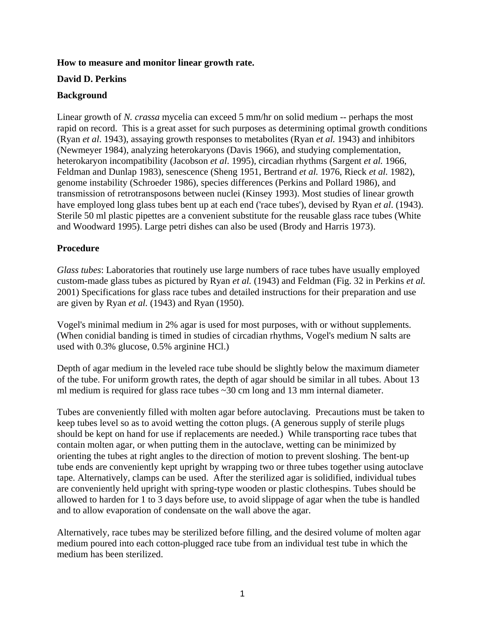## **How to measure and monitor linear growth rate.**

## **David D. Perkins**

## **Background**

Linear growth of *N. crassa* mycelia can exceed 5 mm/hr on solid medium -- perhaps the most rapid on record. This is a great asset for such purposes as determining optimal growth conditions (Ryan *et al*. 1943), assaying growth responses to metabolites (Ryan *et al.* 1943) and inhibitors (Newmeyer 1984), analyzing heterokaryons (Davis 1966), and studying complementation, heterokaryon incompatibility (Jacobson *et al*. 1995), circadian rhythms (Sargent *et al.* 1966, Feldman and Dunlap 1983), senescence (Sheng 1951, Bertrand *et al.* 1976, Rieck *et al.* 1982), genome instability (Schroeder 1986), species differences (Perkins and Pollard 1986), and transmission of retrotransposons between nuclei (Kinsey 1993). Most studies of linear growth have employed long glass tubes bent up at each end ('race tubes'), devised by Ryan *et al*. (1943). Sterile 50 ml plastic pipettes are a convenient substitute for the reusable glass race tubes (White and Woodward 1995). Large petri dishes can also be used (Brody and Harris 1973).

# **Procedure**

*Glass tubes*: Laboratories that routinely use large numbers of race tubes have usually employed custom-made glass tubes as pictured by Ryan *et al.* (1943) and Feldman (Fig. 32 in Perkins *et al.* 2001) Specifications for glass race tubes and detailed instructions for their preparation and use are given by Ryan *et al.* (1943) and Ryan (1950).

Vogel's minimal medium in 2% agar is used for most purposes, with or without supplements. (When conidial banding is timed in studies of circadian rhythms, Vogel's medium N salts are used with 0.3% glucose, 0.5% arginine HCl.)

Depth of agar medium in the leveled race tube should be slightly below the maximum diameter of the tube. For uniform growth rates, the depth of agar should be similar in all tubes. About 13 ml medium is required for glass race tubes ~30 cm long and 13 mm internal diameter.

Tubes are conveniently filled with molten agar before autoclaving. Precautions must be taken to keep tubes level so as to avoid wetting the cotton plugs. (A generous supply of sterile plugs should be kept on hand for use if replacements are needed.) While transporting race tubes that contain molten agar, or when putting them in the autoclave, wetting can be minimized by orienting the tubes at right angles to the direction of motion to prevent sloshing. The bent-up tube ends are conveniently kept upright by wrapping two or three tubes together using autoclave tape. Alternatively, clamps can be used. After the sterilized agar is solidified, individual tubes are conveniently held upright with spring-type wooden or plastic clothespins. Tubes should be allowed to harden for 1 to 3 days before use, to avoid slippage of agar when the tube is handled and to allow evaporation of condensate on the wall above the agar.

Alternatively, race tubes may be sterilized before filling, and the desired volume of molten agar medium poured into each cotton-plugged race tube from an individual test tube in which the medium has been sterilized.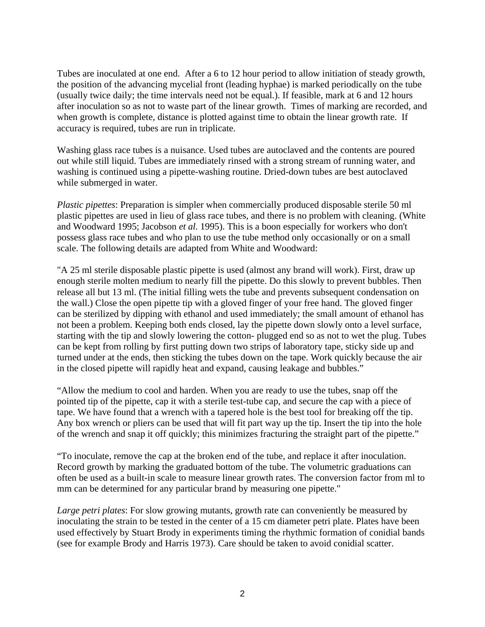Tubes are inoculated at one end. After a 6 to 12 hour period to allow initiation of steady growth, the position of the advancing mycelial front (leading hyphae) is marked periodically on the tube (usually twice daily; the time intervals need not be equal.). If feasible, mark at 6 and 12 hours after inoculation so as not to waste part of the linear growth. Times of marking are recorded, and when growth is complete, distance is plotted against time to obtain the linear growth rate. If accuracy is required, tubes are run in triplicate.

Washing glass race tubes is a nuisance. Used tubes are autoclaved and the contents are poured out while still liquid. Tubes are immediately rinsed with a strong stream of running water, and washing is continued using a pipette-washing routine. Dried-down tubes are best autoclaved while submerged in water.

*Plastic pipettes*: Preparation is simpler when commercially produced disposable sterile 50 ml plastic pipettes are used in lieu of glass race tubes, and there is no problem with cleaning. (White and Woodward 1995; Jacobson *et al.* 1995). This is a boon especially for workers who don't possess glass race tubes and who plan to use the tube method only occasionally or on a small scale. The following details are adapted from White and Woodward:

"A 25 ml sterile disposable plastic pipette is used (almost any brand will work). First, draw up enough sterile molten medium to nearly fill the pipette. Do this slowly to prevent bubbles. Then release all but 13 ml. (The initial filling wets the tube and prevents subsequent condensation on the wall.) Close the open pipette tip with a gloved finger of your free hand. The gloved finger can be sterilized by dipping with ethanol and used immediately; the small amount of ethanol has not been a problem. Keeping both ends closed, lay the pipette down slowly onto a level surface, starting with the tip and slowly lowering the cotton- plugged end so as not to wet the plug. Tubes can be kept from rolling by first putting down two strips of laboratory tape, sticky side up and turned under at the ends, then sticking the tubes down on the tape. Work quickly because the air in the closed pipette will rapidly heat and expand, causing leakage and bubbles."

"Allow the medium to cool and harden. When you are ready to use the tubes, snap off the pointed tip of the pipette, cap it with a sterile test-tube cap, and secure the cap with a piece of tape. We have found that a wrench with a tapered hole is the best tool for breaking off the tip. Any box wrench or pliers can be used that will fit part way up the tip. Insert the tip into the hole of the wrench and snap it off quickly; this minimizes fracturing the straight part of the pipette."

"To inoculate, remove the cap at the broken end of the tube, and replace it after inoculation. Record growth by marking the graduated bottom of the tube. The volumetric graduations can often be used as a built-in scale to measure linear growth rates. The conversion factor from ml to mm can be determined for any particular brand by measuring one pipette."

*Large petri plates*: For slow growing mutants, growth rate can conveniently be measured by inoculating the strain to be tested in the center of a 15 cm diameter petri plate. Plates have been used effectively by Stuart Brody in experiments timing the rhythmic formation of conidial bands (see for example Brody and Harris 1973). Care should be taken to avoid conidial scatter.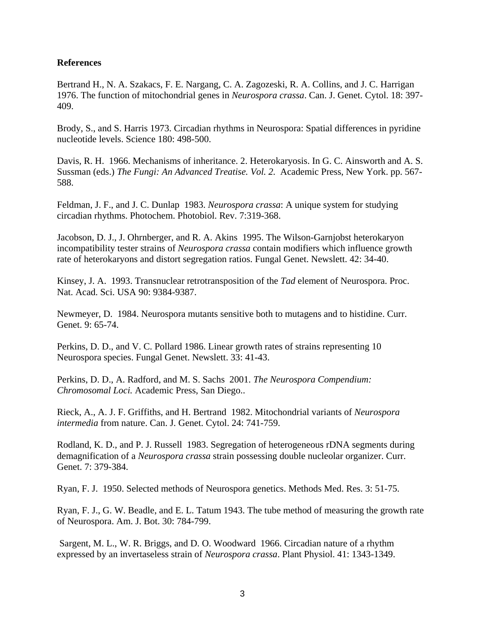#### **References**

Bertrand H., N. A. Szakacs, F. E. Nargang, C. A. Zagozeski, R. A. Collins, and J. C. Harrigan 1976. The function of mitochondrial genes in *Neurospora crassa*. Can. J. Genet. Cytol. 18: 397- 409.

Brody, S., and S. Harris 1973. Circadian rhythms in Neurospora: Spatial differences in pyridine nucleotide levels. Science 180: 498-500.

Davis, R. H. 1966. Mechanisms of inheritance. 2. Heterokaryosis. In G. C. Ainsworth and A. S. Sussman (eds.) *The Fungi: An Advanced Treatise. Vol. 2.* Academic Press, New York. pp. 567- 588.

Feldman, J. F., and J. C. Dunlap 1983. *Neurospora crassa*: A unique system for studying circadian rhythms. Photochem. Photobiol. Rev. 7:319-368.

Jacobson, D. J., J. Ohrnberger, and R. A. Akins 1995. The Wilson-Garnjobst heterokaryon incompatibility tester strains of *Neurospora crassa* contain modifiers which influence growth rate of heterokaryons and distort segregation ratios. Fungal Genet. Newslett. 42: 34-40.

Kinsey, J. A. 1993. Transnuclear retrotransposition of the *Tad* element of Neurospora. Proc. Nat. Acad. Sci. USA 90: 9384-9387.

Newmeyer, D. 1984. Neurospora mutants sensitive both to mutagens and to histidine. Curr. Genet. 9: 65-74.

Perkins, D. D., and V. C. Pollard 1986. Linear growth rates of strains representing 10 Neurospora species. Fungal Genet. Newslett. 33: 41-43.

Perkins, D. D., A. Radford, and M. S. Sachs 2001. *The Neurospora Compendium: Chromosomal Loci.* Academic Press, San Diego..

Rieck, A., A. J. F. Griffiths, and H. Bertrand 1982. Mitochondrial variants of *Neurospora intermedia* from nature. Can. J. Genet. Cytol. 24: 741-759.

Rodland, K. D., and P. J. Russell 1983. Segregation of heterogeneous rDNA segments during demagnification of a *Neurospora crassa* strain possessing double nucleolar organizer. Curr. Genet. 7: 379-384.

Ryan, F. J. 1950. Selected methods of Neurospora genetics. Methods Med. Res. 3: 51-75.

Ryan, F. J., G. W. Beadle, and E. L. Tatum 1943. The tube method of measuring the growth rate of Neurospora. Am. J. Bot. 30: 784-799.

 Sargent, M. L., W. R. Briggs, and D. O. Woodward 1966. Circadian nature of a rhythm expressed by an invertaseless strain of *Neurospora crassa*. Plant Physiol. 41: 1343-1349.